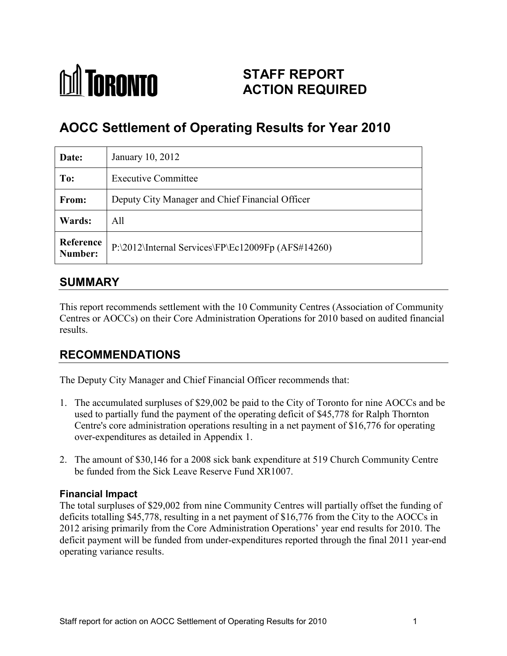## **M** TORONTO **STAFF REPORT ACTION REQUIRED**

# **AOCC Settlement of Operating Results for Year 2010**

| Date:                | January 10, 2012                                   |
|----------------------|----------------------------------------------------|
| To:                  | <b>Executive Committee</b>                         |
| From:                | Deputy City Manager and Chief Financial Officer    |
| Wards:               | All                                                |
| Reference<br>Number: | P:\2012\Internal Services\FP\Ec12009Fp (AFS#14260) |

## **SUMMARY**

This report recommends settlement with the 10 Community Centres (Association of Community Centres or AOCCs) on their Core Administration Operations for 2010 based on audited financial results.

## **RECOMMENDATIONS**

The Deputy City Manager and Chief Financial Officer recommends that:

- 1. The accumulated surpluses of \$29,002 be paid to the City of Toronto for nine AOCCs and be used to partially fund the payment of the operating deficit of \$45,778 for Ralph Thornton Centre's core administration operations resulting in a net payment of \$16,776 for operating over-expenditures as detailed in Appendix 1.
- 2. The amount of \$30,146 for a 2008 sick bank expenditure at 519 Church Community Centre be funded from the Sick Leave Reserve Fund XR1007.

#### **Financial Impact**

The total surpluses of \$29,002 from nine Community Centres will partially offset the funding of deficits totalling \$45,778, resulting in a net payment of \$16,776 from the City to the AOCCs in 2012 arising primarily from the Core Administration Operations' year end results for 2010. The deficit payment will be funded from under-expenditures reported through the final 2011 year-end operating variance results.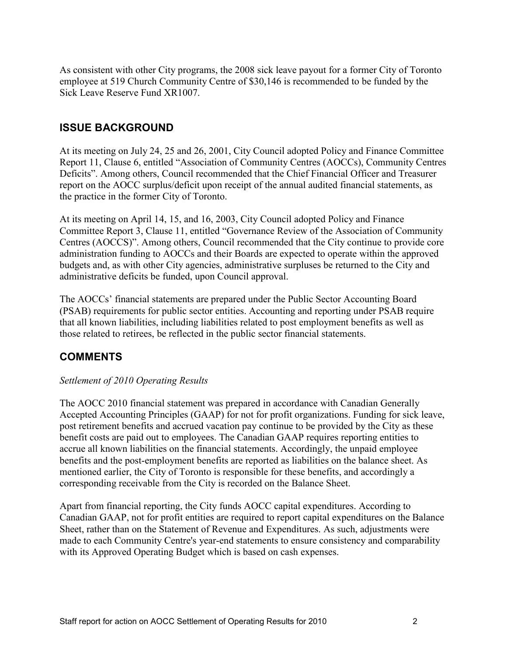As consistent with other City programs, the 2008 sick leave payout for a former City of Toronto employee at 519 Church Community Centre of \$30,146 is recommended to be funded by the Sick Leave Reserve Fund XR1007.

## **ISSUE BACKGROUND**

At its meeting on July 24, 25 and 26, 2001, City Council adopted Policy and Finance Committee Report 11, Clause 6, entitled "Association of Community Centres (AOCCs), Community Centres Deficits". Among others, Council recommended that the Chief Financial Officer and Treasurer report on the AOCC surplus/deficit upon receipt of the annual audited financial statements, as the practice in the former City of Toronto.

At its meeting on April 14, 15, and 16, 2003, City Council adopted Policy and Finance Committee Report 3, Clause 11, entitled "Governance Review of the Association of Community Centres (AOCCS)". Among others, Council recommended that the City continue to provide core administration funding to AOCCs and their Boards are expected to operate within the approved budgets and, as with other City agencies, administrative surpluses be returned to the City and administrative deficits be funded, upon Council approval.

The AOCCs' financial statements are prepared under the Public Sector Accounting Board (PSAB) requirements for public sector entities. Accounting and reporting under PSAB require that all known liabilities, including liabilities related to post employment benefits as well as those related to retirees, be reflected in the public sector financial statements.

## **COMMENTS**

#### *Settlement of 2010 Operating Results*

The AOCC 2010 financial statement was prepared in accordance with Canadian Generally Accepted Accounting Principles (GAAP) for not for profit organizations. Funding for sick leave, post retirement benefits and accrued vacation pay continue to be provided by the City as these benefit costs are paid out to employees. The Canadian GAAP requires reporting entities to accrue all known liabilities on the financial statements. Accordingly, the unpaid employee benefits and the post-employment benefits are reported as liabilities on the balance sheet. As mentioned earlier, the City of Toronto is responsible for these benefits, and accordingly a corresponding receivable from the City is recorded on the Balance Sheet.

Apart from financial reporting, the City funds AOCC capital expenditures. According to Canadian GAAP, not for profit entities are required to report capital expenditures on the Balance Sheet, rather than on the Statement of Revenue and Expenditures. As such, adjustments were made to each Community Centre's year-end statements to ensure consistency and comparability with its Approved Operating Budget which is based on cash expenses.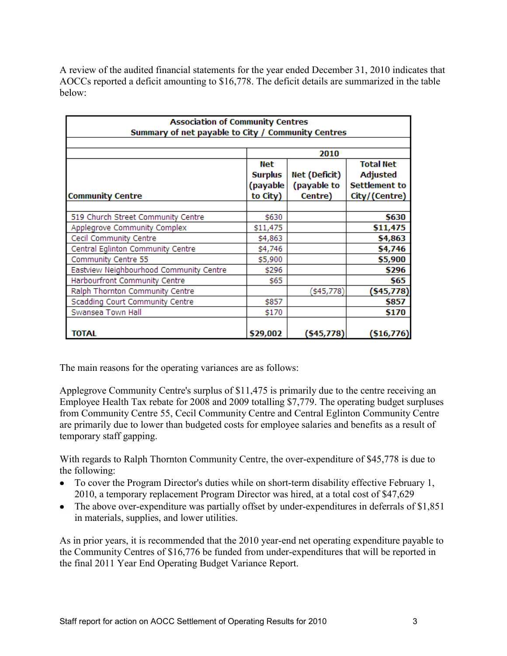A review of the audited financial statements for the year ended December 31, 2010 indicates that AOCCs reported a deficit amounting to \$16,778. The deficit details are summarized in the table below:

| <b>Association of Community Centres</b>            |                |               |                      |  |  |  |  |  |
|----------------------------------------------------|----------------|---------------|----------------------|--|--|--|--|--|
| Summary of net payable to City / Community Centres |                |               |                      |  |  |  |  |  |
|                                                    |                |               |                      |  |  |  |  |  |
|                                                    | 2010           |               |                      |  |  |  |  |  |
|                                                    | Net            |               | <b>Total Net</b>     |  |  |  |  |  |
|                                                    | <b>Surplus</b> | Net (Deficit) | <b>Adjusted</b>      |  |  |  |  |  |
|                                                    | (payable)      | (payable to   | <b>Settlement to</b> |  |  |  |  |  |
| <b>Community Centre</b>                            | to City)       | Centre)       | City/(Centre)        |  |  |  |  |  |
|                                                    |                |               |                      |  |  |  |  |  |
| 519 Church Street Community Centre                 | \$630          |               | \$630                |  |  |  |  |  |
| Applegrove Community Complex                       | \$11,475       |               | \$11,475             |  |  |  |  |  |
| Cecil Community Centre                             | \$4,863        |               | \$4,863              |  |  |  |  |  |
| Central Eglinton Community Centre                  | \$4,746        |               | \$4,746              |  |  |  |  |  |
| Community Centre 55                                | \$5,900        |               | \$5,900              |  |  |  |  |  |
| Eastview Neighbourhood Community Centre            | \$296          |               | \$296                |  |  |  |  |  |
| Harbourfront Community Centre                      | \$65           |               | \$65                 |  |  |  |  |  |
| Ralph Thornton Community Centre                    |                | \$45,778]     | (\$45,778)           |  |  |  |  |  |
| Scadding Court Community Centre                    | \$857          |               | \$857                |  |  |  |  |  |
| Swansea Town Hall                                  | \$170          |               | \$170                |  |  |  |  |  |
|                                                    |                |               |                      |  |  |  |  |  |
| <b>TOTAL</b>                                       | \$29,002       | (\$45,778)    | ( \$16, 776)         |  |  |  |  |  |

The main reasons for the operating variances are as follows:

Applegrove Community Centre's surplus of \$11,475 is primarily due to the centre receiving an Employee Health Tax rebate for 2008 and 2009 totalling \$7,779. The operating budget surpluses from Community Centre 55, Cecil Community Centre and Central Eglinton Community Centre are primarily due to lower than budgeted costs for employee salaries and benefits as a result of temporary staff gapping.

With regards to Ralph Thornton Community Centre, the over-expenditure of \$45,778 is due to the following:

- To cover the Program Director's duties while on short-term disability effective February 1, 2010, a temporary replacement Program Director was hired, at a total cost of \$47,629
- The above over-expenditure was partially offset by under-expenditures in deferrals of \$1,851 in materials, supplies, and lower utilities.

As in prior years, it is recommended that the 2010 year-end net operating expenditure payable to the Community Centres of \$16,776 be funded from under-expenditures that will be reported in the final 2011 Year End Operating Budget Variance Report.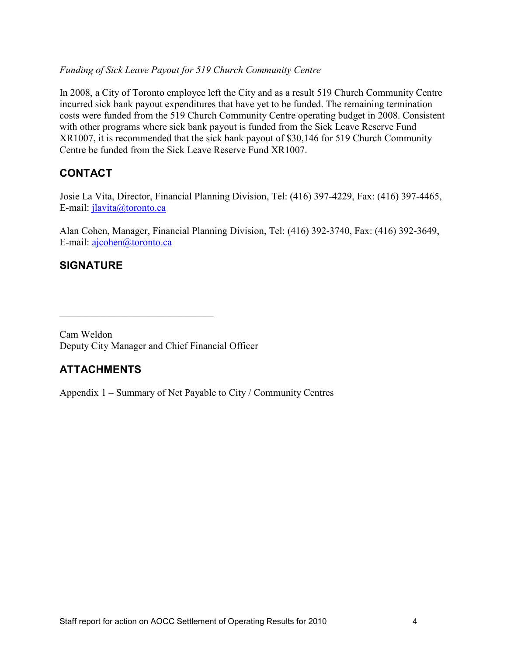#### *Funding of Sick Leave Payout for 519 Church Community Centre*

In 2008, a City of Toronto employee left the City and as a result 519 Church Community Centre incurred sick bank payout expenditures that have yet to be funded. The remaining termination costs were funded from the 519 Church Community Centre operating budget in 2008. Consistent with other programs where sick bank payout is funded from the Sick Leave Reserve Fund XR1007, it is recommended that the sick bank payout of \$30,146 for 519 Church Community Centre be funded from the Sick Leave Reserve Fund XR1007.

## **CONTACT**

Josie La Vita, Director, Financial Planning Division, Tel: (416) 397-4229, Fax: (416) 397-4465, E-mail: *jlavita@toronto.ca* 

Alan Cohen, Manager, Financial Planning Division, Tel: (416) 392-3740, Fax: (416) 392-3649, E-mail: [ajcohen@toronto.ca](mailto:dwillia4@toronto.ca)

## **SIGNATURE**

Cam Weldon Deputy City Manager and Chief Financial Officer

 $\mathcal{L}_\text{max}$  , where  $\mathcal{L}_\text{max}$  and  $\mathcal{L}_\text{max}$  and  $\mathcal{L}_\text{max}$ 

## **ATTACHMENTS**

Appendix 1 – Summary of Net Payable to City / Community Centres